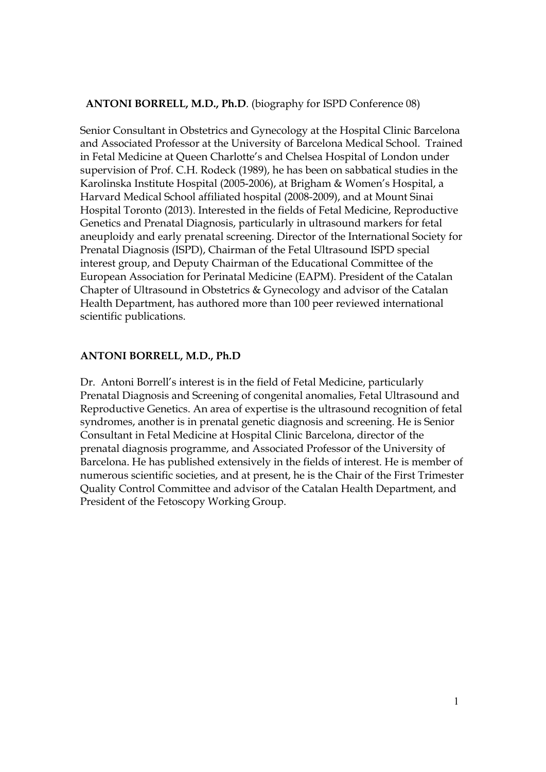## **ANTONI BORRELL, M.D., Ph.D**. (biography for ISPD Conference 08)

Senior Consultant in Obstetrics and Gynecology at the Hospital Clinic Barcelona and Associated Professor at the University of Barcelona Medical School. Trained in Fetal Medicine at Queen Charlotte's and Chelsea Hospital of London under supervision of Prof. C.H. Rodeck (1989), he has been on sabbatical studies in the Karolinska Institute Hospital (2005-2006), at Brigham & Women's Hospital, a Harvard Medical School affiliated hospital (2008-2009), and at Mount Sinai Hospital Toronto (2013). Interested in the fields of Fetal Medicine, Reproductive Genetics and Prenatal Diagnosis, particularly in ultrasound markers for fetal aneuploidy and early prenatal screening. Director of the International Society for Prenatal Diagnosis (ISPD), Chairman of the Fetal Ultrasound ISPD special interest group, and Deputy Chairman of the Educational Committee of the European Association for Perinatal Medicine (EAPM). President of the Catalan Chapter of Ultrasound in Obstetrics & Gynecology and advisor of the Catalan Health Department, has authored more than 100 peer reviewed international scientific publications.

## **ANTONI BORRELL, M.D., Ph.D**

Dr. Antoni Borrell's interest is in the field of Fetal Medicine, particularly Prenatal Diagnosis and Screening of congenital anomalies, Fetal Ultrasound and Reproductive Genetics. An area of expertise is the ultrasound recognition of fetal syndromes, another is in prenatal genetic diagnosis and screening. He is Senior Consultant in Fetal Medicine at Hospital Clinic Barcelona, director of the prenatal diagnosis programme, and Associated Professor of the University of Barcelona. He has published extensively in the fields of interest. He is member of numerous scientific societies, and at present, he is the Chair of the First Trimester Quality Control Committee and advisor of the Catalan Health Department, and President of the Fetoscopy Working Group.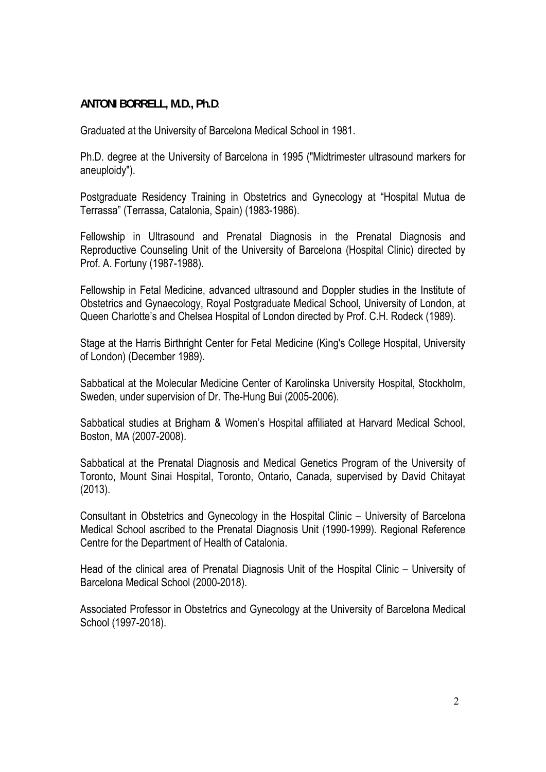## **ANTONI BORRELL, M.D., Ph.D**.

Graduated at the University of Barcelona Medical School in 1981.

Ph.D. degree at the University of Barcelona in 1995 ("Midtrimester ultrasound markers for aneuploidy").

Postgraduate Residency Training in Obstetrics and Gynecology at "Hospital Mutua de Terrassa" (Terrassa, Catalonia, Spain) (1983-1986).

Fellowship in Ultrasound and Prenatal Diagnosis in the Prenatal Diagnosis and Reproductive Counseling Unit of the University of Barcelona (Hospital Clinic) directed by Prof. A. Fortuny (1987-1988).

Fellowship in Fetal Medicine, advanced ultrasound and Doppler studies in the Institute of Obstetrics and Gynaecology, Royal Postgraduate Medical School, University of London, at Queen Charlotte's and Chelsea Hospital of London directed by Prof. C.H. Rodeck (1989).

Stage at the Harris Birthright Center for Fetal Medicine (King's College Hospital, University of London) (December 1989).

Sabbatical at the Molecular Medicine Center of Karolinska University Hospital, Stockholm, Sweden, under supervision of Dr. The-Hung Bui (2005-2006).

Sabbatical studies at Brigham & Women's Hospital affiliated at Harvard Medical School, Boston, MA (2007-2008).

Sabbatical at the Prenatal Diagnosis and Medical Genetics Program of the University of Toronto, Mount Sinai Hospital, Toronto, Ontario, Canada, supervised by David Chitayat (2013).

Consultant in Obstetrics and Gynecology in the Hospital Clinic – University of Barcelona Medical School ascribed to the Prenatal Diagnosis Unit (1990-1999). Regional Reference Centre for the Department of Health of Catalonia.

Head of the clinical area of Prenatal Diagnosis Unit of the Hospital Clinic – University of Barcelona Medical School (2000-2018).

Associated Professor in Obstetrics and Gynecology at the University of Barcelona Medical School (1997-2018).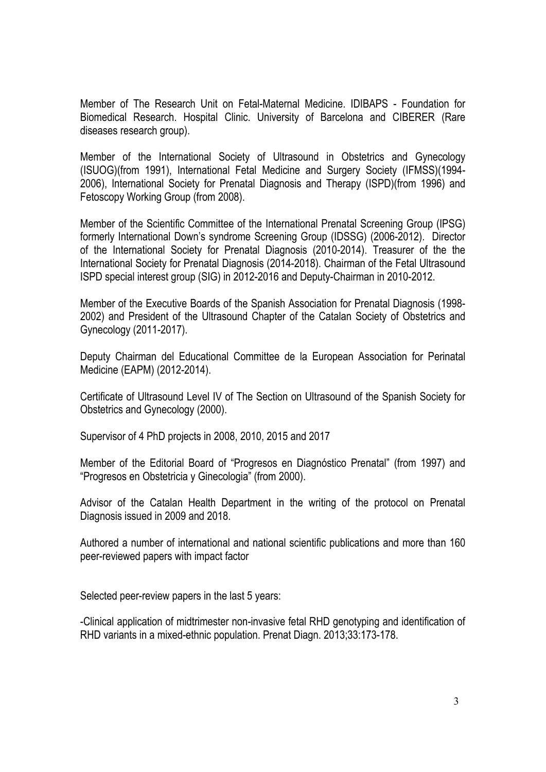Member of The Research Unit on Fetal-Maternal Medicine. IDIBAPS - Foundation for Biomedical Research. Hospital Clinic. University of Barcelona and CIBERER (Rare diseases research group).

Member of the International Society of Ultrasound in Obstetrics and Gynecology (ISUOG)(from 1991), International Fetal Medicine and Surgery Society (IFMSS)(1994- 2006), International Society for Prenatal Diagnosis and Therapy (ISPD)(from 1996) and Fetoscopy Working Group (from 2008).

Member of the Scientific Committee of the International Prenatal Screening Group (IPSG) formerly International Down's syndrome Screening Group (IDSSG) (2006-2012). Director of the International Society for Prenatal Diagnosis (2010-2014). Treasurer of the the International Society for Prenatal Diagnosis (2014-2018). Chairman of the Fetal Ultrasound ISPD special interest group (SIG) in 2012-2016 and Deputy-Chairman in 2010-2012.

Member of the Executive Boards of the Spanish Association for Prenatal Diagnosis (1998- 2002) and President of the Ultrasound Chapter of the Catalan Society of Obstetrics and Gynecology (2011-2017).

Deputy Chairman del Educational Committee de la European Association for Perinatal Medicine (EAPM) (2012-2014).

Certificate of Ultrasound Level IV of The Section on Ultrasound of the Spanish Society for Obstetrics and Gynecology (2000).

Supervisor of 4 PhD projects in 2008, 2010, 2015 and 2017

Member of the Editorial Board of "Progresos en Diagnóstico Prenatal" (from 1997) and "Progresos en Obstetricia y Ginecologia" (from 2000).

Advisor of the Catalan Health Department in the writing of the protocol on Prenatal Diagnosis issued in 2009 and 2018.

Authored a number of international and national scientific publications and more than 160 peer-reviewed papers with impact factor

Selected peer-review papers in the last 5 years:

-Clinical application of midtrimester non-invasive fetal RHD genotyping and identification of RHD variants in a mixed-ethnic population. Prenat Diagn. 2013;33:173-178.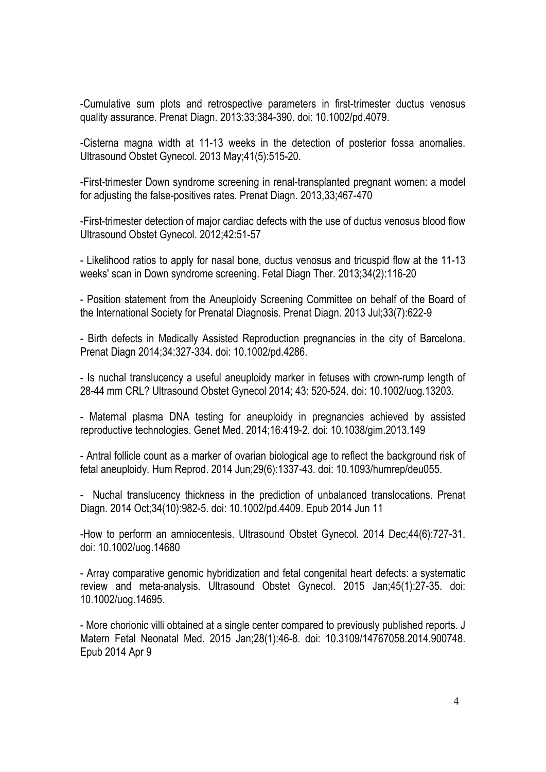-Cumulative sum plots and retrospective parameters in first-trimester ductus venosus quality assurance. Prenat Diagn. 2013:33;384-390. doi: 10.1002/pd.4079.

-Cisterna magna width at 11-13 weeks in the detection of posterior fossa anomalies. Ultrasound Obstet Gynecol. 2013 May;41(5):515-20.

-First-trimester Down syndrome screening in renal-transplanted pregnant women: a model for adjusting the false-positives rates. Prenat Diagn. 2013,33;467-470

-First-trimester detection of major cardiac defects with the use of ductus venosus blood flow Ultrasound Obstet Gynecol. 2012;42:51-57

- Likelihood ratios to apply for nasal bone, ductus venosus and tricuspid flow at the 11-13 weeks' scan in Down syndrome screening. Fetal Diagn Ther. 2013;34(2):116-20

- Position statement from the Aneuploidy Screening Committee on behalf of the Board of the International Society for Prenatal Diagnosis. Prenat Diagn. 2013 Jul;33(7):622-9

- Birth defects in Medically Assisted Reproduction pregnancies in the city of Barcelona. Prenat Diagn 2014;34:327-334. doi: 10.1002/pd.4286.

- Is nuchal translucency a useful aneuploidy marker in fetuses with crown-rump length of 28-44 mm CRL? Ultrasound Obstet Gynecol 2014; 43: 520-524. doi: 10.1002/uog.13203.

- Maternal plasma DNA testing for aneuploidy in pregnancies achieved by assisted reproductive technologies. Genet Med. 2014;16:419-2. doi: 10.1038/gim.2013.149

- Antral follicle count as a marker of ovarian biological age to reflect the background risk of fetal aneuploidy. Hum Reprod. 2014 Jun;29(6):1337-43. doi: 10.1093/humrep/deu055.

- Nuchal translucency thickness in the prediction of unbalanced translocations. Prenat Diagn. 2014 Oct;34(10):982-5. doi: 10.1002/pd.4409. Epub 2014 Jun 11

-How to perform an amniocentesis. Ultrasound Obstet Gynecol. 2014 Dec;44(6):727-31. doi: 10.1002/uog.14680

- Array comparative genomic hybridization and fetal congenital heart defects: a systematic review and meta-analysis. Ultrasound Obstet Gynecol. 2015 Jan;45(1):27-35. doi: 10.1002/uog.14695.

- More chorionic villi obtained at a single center compared to previously published reports. J Matern Fetal Neonatal Med. 2015 Jan;28(1):46-8. doi: 10.3109/14767058.2014.900748. Epub 2014 Apr 9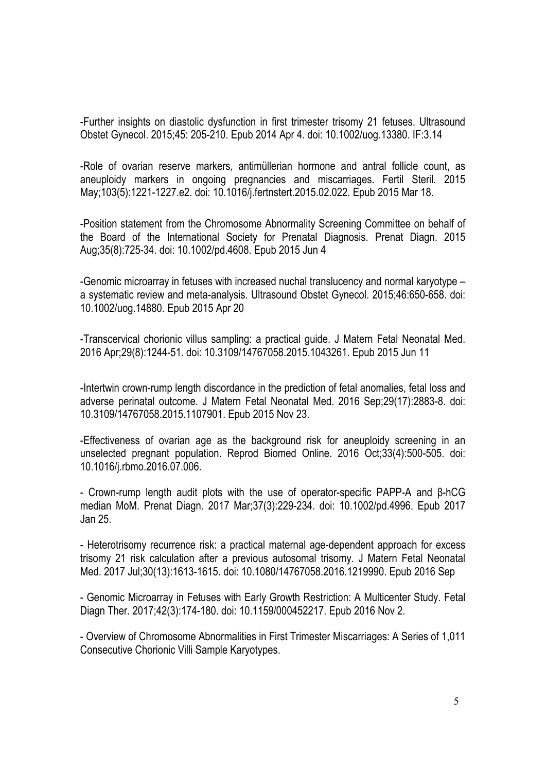-Further insights on diastolic dysfunction in first trimester trisomy 21 fetuses. Ultrasound Obstet Gynecol. 2015;45: 205-210. Epub 2014 Apr 4. doi: 10.1002/uog.13380. IF:3.14

-Role of ovarian reserve markers, antimüllerian hormone and antral follicle count, as aneuploidy markers in ongoing pregnancies and miscarriages. Fertil Steril. 2015 May;103(5):1221-1227.e2. doi: 10.1016/j.fertnstert.2015.02.022. Epub 2015 Mar 18.

-Position statement from the Chromosome Abnormality Screening Committee on behalf of the Board of the International Society for Prenatal Diagnosis. Prenat Diagn. 2015 Aug;35(8):725-34. doi: 10.1002/pd.4608. Epub 2015 Jun 4

-Genomic microarray in fetuses with increased nuchal translucency and normal karyotype – a systematic review and meta-analysis. Ultrasound Obstet Gynecol. 2015;46:650-658. doi: 10.1002/uog.14880. Epub 2015 Apr 20

-Transcervical chorionic villus sampling: a practical guide. J Matern Fetal Neonatal Med. 2016 Apr;29(8):1244-51. doi: 10.3109/14767058.2015.1043261. Epub 2015 Jun 11

-Intertwin crown-rump length discordance in the prediction of fetal anomalies, fetal loss and adverse perinatal outcome. J Matern Fetal Neonatal Med. 2016 Sep;29(17):2883-8. doi: 10.3109/14767058.2015.1107901. Epub 2015 Nov 23.

-Effectiveness of ovarian age as the background risk for aneuploidy screening in an unselected pregnant population. Reprod Biomed Online. 2016 Oct;33(4):500-505. doi: 10.1016/j.rbmo.2016.07.006.

- Crown-rump length audit plots with the use of operator-specific PAPP-A and β-hCG median MoM. Prenat Diagn. 2017 Mar;37(3):229-234. doi: 10.1002/pd.4996. Epub 2017 Jan 25.

- Heterotrisomy recurrence risk: a practical maternal age-dependent approach for excess trisomy 21 risk calculation after a previous autosomal trisomy. J Matern Fetal Neonatal Med. 2017 Jul;30(13):1613-1615. doi: 10.1080/14767058.2016.1219990. Epub 2016 Sep

- Genomic Microarray in Fetuses with Early Growth Restriction: A Multicenter Study. Fetal Diagn Ther. 2017;42(3):174-180. doi: 10.1159/000452217. Epub 2016 Nov 2.

- Overview of Chromosome Abnormalities in First Trimester Miscarriages: A Series of 1,011 Consecutive Chorionic Villi Sample Karyotypes.